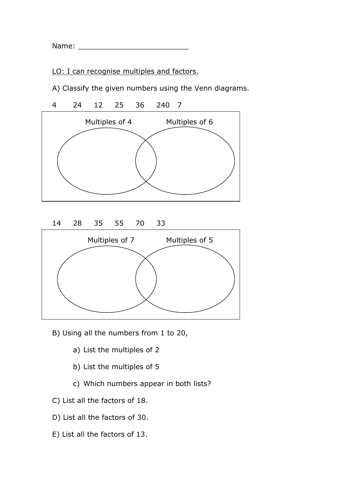Name: \_\_\_\_\_\_\_\_\_\_\_\_\_\_\_\_\_\_\_\_\_\_\_\_\_

LO: I can recognise multiples and factors.

A) Classify the given numbers using the Venn diagrams.



- B) Using all the numbers from 1 to 20,
	- a) List the multiples of 2
	- b) List the multiples of 5
	- c) Which numbers appear in both lists?
- C) List all the factors of 18.
- D) List all the factors of 30.
- E) List all the factors of 13.